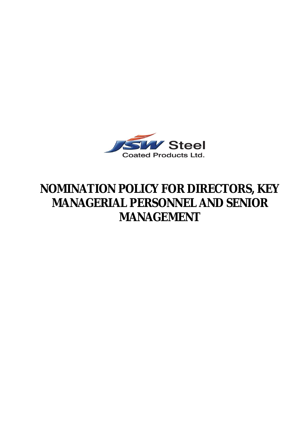

# **NOMINATION POLICY FOR DIRECTORS, KEY MANAGERIAL PERSONNEL AND SENIOR MANAGEMENT**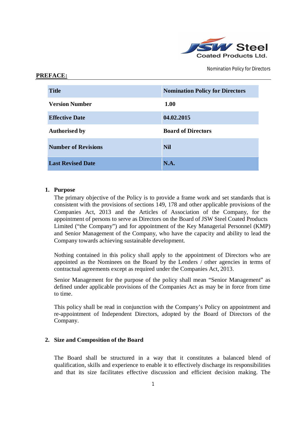

| <b>Title</b>               | <b>Nomination Policy for Directors</b> |
|----------------------------|----------------------------------------|
| <b>Version Number</b>      | 1.00                                   |
| <b>Effective Date</b>      | 04.02.2015                             |
| <b>Authorised by</b>       | <b>Board of Directors</b>              |
| <b>Number of Revisions</b> | <b>Nil</b>                             |
| <b>Last Revised Date</b>   | N.A.                                   |

## **1. Purpose**

**PREFACE:**

The primary objective of the Policy is to provide a frame work and set standards that is consistent with the provisions of sections 149, 178 and other applicable provisions of the Companies Act, 2013 and the Articles of Association of the Company, for the appointment of persons to serve as Directors on the Board of JSW Steel Coated Products Limited ("the Company") and for appointment of the Key Managerial Personnel (KMP) and Senior Management of the Company, who have the capacity and ability to lead the Company towards achieving sustainable development.

Nothing contained in this policy shall apply to the appointment of Directors who are appointed as the Nominees on the Board by the Lenders / other agencies in terms of contractual agreements except as required under the Companies Act, 2013.

Senior Management for the purpose of the policy shall mean "Senior Management" as defined under applicable provisions of the Companies Act as may be in force from time to time.

This policy shall be read in conjunction with the Company's Policy on appointment and re-appointment of Independent Directors, adopted by the Board of Directors of the Company.

# **2. Size and Composition of the Board**

The Board shall be structured in a way that it constitutes a balanced blend of qualification, skills and experience to enable it to effectively discharge its responsibilities and that its size facilitates effective discussion and efficient decision making. The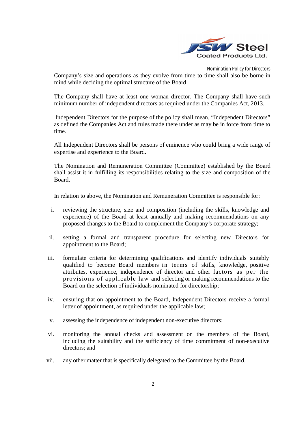

Company's size and operations as they evolve from time to time shall also be borne in mind while deciding the optimal structure of the Board.

The Company shall have at least one woman director. The Company shall have such minimum number of independent directors as required under the Companies Act, 2013.

Independent Directors for the purpose of the policy shall mean, "Independent Directors" as defined the Companies Act and rules made there under as may be in force from time to time.

All Independent Directors shall be persons of eminence who could bring a wide range of expertise and experience to the Board.

The Nomination and Remuneration Committee (Committee) established by the Board shall assist it in fulfilling its responsibilities relating to the size and composition of the Board.

In relation to above, the Nomination and Remuneration Committee is responsible for:

- i. reviewing the structure, size and composition (including the skills, knowledge and experience) of the Board at least annually and making recommendations on any proposed changes to the Board to complement the Company's corporate strategy;
- ii. setting a formal and transparent procedure for selecting new Directors for appointment to the Board;
- iii. formulate criteria for determining qualifications and identify individuals suitably qualified to become Board members in te rms of skills, knowledge, positive attributes, experience, independence of director and other factors as per the provisio ns of applic able law and selecting or making recommendations to the Board on the selection of individuals nominated for directorship;
- iv. ensuring that on appointment to the Board, Independent Directors receive a formal letter of appointment, as required under the applicable law;
- v. assessing the independence of independent non-executive directors;
- vi. monitoring the annual checks and assessment on the members of the Board, including the suitability and the sufficiency of time commitment of non-executive directors; and
- vii. any other matter that is specifically delegated to the Committee by the Board.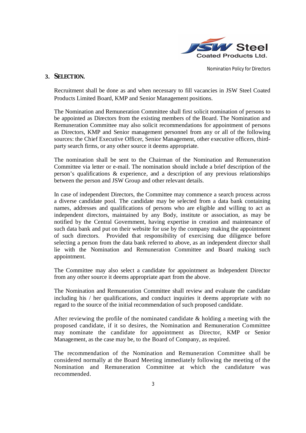

# **3. SELECTION.**

Recruitment shall be done as and when necessary to fill vacancies in JSW Steel Coated Products Limited Board, KMP and Senior Management positions.

The Nomination and Remuneration Committee shall first solicit nomination of persons to be appointed as Directors from the existing members of the Board. The Nomination and Remuneration Committee may also solicit recommendations for appointment of persons as Directors, KMP and Senior management personnel from any or all of the following sources: the Chief Executive Officer, Senior Management, other executive officers, thirdparty search firms, or any other source it deems appropriate.

The nomination shall be sent to the Chairman of the Nomination and Remuneration Committee via letter or e-mail. The nomination should include a brief description of the person's qualifications & experience, and a description of any previous relationships between the person and JSW Group and other relevant details.

In case of independent Directors, the Committee may commence a search process across a diverse candidate pool. The candidate may be selected from a data bank containing names, addresses and qualifications of persons who are eligible and willing to act as independent directors, maintained by any Body, institute or association, as may be notified by the Central Government, having expertise in creation and maintenance of such data bank and put on their website for use by the company making the appointment of such directors. Provided that responsibility of exercising due diligence before selecting a person from the data bank referred to above, as an independent director shall lie with the Nomination and Remuneration Committee and Board making such appointment.

The Committee may also select a candidate for appointment as Independent Director from any other source it deems appropriate apart from the above.

The Nomination and Remuneration Committee shall review and evaluate the candidate including his / her qualifications, and conduct inquiries it deems appropriate with no regard to the source of the initial recommendation of such proposed candidate.

After reviewing the profile of the nominated candidate & holding a meeting with the proposed candidate, if it so desires, the Nomination and Remuneration Committee may nominate the candidate for appointment as Director, KMP or Senior Management, as the case may be, to the Board of Company, as required.

The recommendation of the Nomination and Remuneration Committee shall be considered normally at the Board Meeting immediately following the meeting of the Nomination and Remuneration Committee at which the candidature was recommended.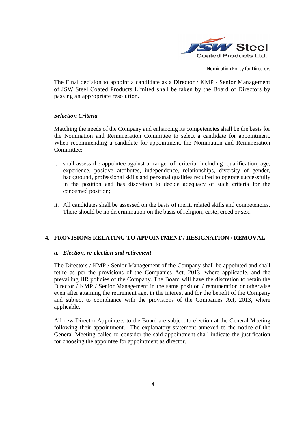

The Final decision to appoint a candidate as a Director / KMP / Senior Management of JSW Steel Coated Products Limited shall be taken by the Board of Directors by passing an appropriate resolution.

# *Selection Criteria*

Matching the needs of the Company and enhancing its competencies shall be the basis for the Nomination and Remuneration Committee to select a candidate for appointment. When recommending a candidate for appointment, the Nomination and Remuneration Committee:

- i. shall assess the appointee against a range of criteria including qualification, age, experience, positive attributes, independence, relationships, diversity of gender, background, professional skills and personal qualities required to operate successfully in the position and has discretion to decide adequacy of such criteria for the concerned position;
- ii. All candidates shall be assessed on the basis of merit, related skills and competencies. There should be no discrimination on the basis of religion, caste, creed or sex.

# **4. PROVISIONS RELATING TO APPOINTMENT / RESIGNATION / REMOVAL**

#### *a. Election, re-election and retirement*

The Directors / KMP / Senior Management of the Company shall be appointed and shall retire as per the provisions of the Companies Act, 2013, where applicable, and the prevailing HR policies of the Company. The Board will have the discretion to retain the Director / KMP / Senior Management in the same position / remuneration or otherwise even after attaining the retirement age, in the interest and for the benefit of the Company and subject to compliance with the provisions of the Companies Act, 2013, where applicable.

All new Director Appointees to the Board are subject to election at the General Meeting following their appointment. The explanatory statement annexed to the notice of the General Meeting called to consider the said appointment shall indicate the justification for choosing the appointee for appointment as director.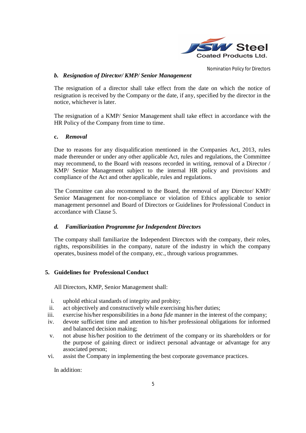

## *b. Resignation of Director/ KMP/ Senior Management*

The resignation of a director shall take effect from the date on which the notice of resignation is received by the Company or the date, if any, specified by the director in the notice, whichever is later.

The resignation of a KMP/ Senior Management shall take effect in accordance with the HR Policy of the Company from time to time.

#### **c.** *Removal*

Due to reasons for any disqualification mentioned in the Companies Act, 2013, rules made thereunder or under any other applicable Act, rules and regulations, the Committee may recommend, to the Board with reasons recorded in writing, removal of a Director / KMP/ Senior Management subject to the internal HR policy and provisions and compliance of the Act and other applicable, rules and regulations.

The Committee can also recommend to the Board, the removal of any Director/ KMP/ Senior Management for non-compliance or violation of Ethics applicable to senior management personnel and Board of Directors or Guidelines for Professional Conduct in accordance with Clause 5.

# *d. Familiarization Programme for Independent Directors*

The company shall familiarize the Independent Directors with the company, their roles, rights, responsibilities in the company, nature of the industry in which the company operates, business model of the company, etc., through various programmes.

# **5. Guidelines for Professional Conduct**

All Directors, KMP, Senior Management shall:

- i. uphold ethical standards of integrity and probity;
- ii. act objectively and constructively while exercising his/her duties;
- iii. exercise his/her responsibilities in a *bona fide* manner in the interest of the company;
- iv. devote sufficient time and attention to his/her professional obligations for informed and balanced decision making;
- v. not abuse his/her position to the detriment of the company or its shareholders or for the purpose of gaining direct or indirect personal advantage or advantage for any associated person;
- vi. assist the Company in implementing the best corporate governance practices.

In addition: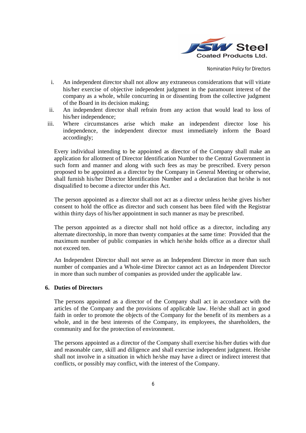

- i. An independent director shall not allow any extraneous considerations that will vitiate his/her exercise of objective independent judgment in the paramount interest of the company as a whole, while concurring in or dissenting from the collective judgment of the Board in its decision making;
- ii. An independent director shall refrain from any action that would lead to loss of his/her independence;
- iii. Where circumstances arise which make an independent director lose his independence, the independent director must immediately inform the Board accordingly;

Every individual intending to be appointed as director of the Company shall make an application for allotment of Director Identification Number to the Central Government in such form and manner and along with such fees as may be prescribed. Every person proposed to be appointed as a director by the Company in General Meeting or otherwise, shall furnish his/her Director Identification Number and a declaration that he/she is not disqualified to become a director under this Act.

The person appointed as a director shall not act as a director unless he/she gives his/her consent to hold the office as director and such consent has been filed with the Registrar within thirty days of his/her appointment in such manner as may be prescribed.

The person appointed as a director shall not hold office as a director, including any alternate directorship, in more than twenty companies at the same time: Provided that the maximum number of public companies in which he/she holds office as a director shall not exceed ten.

An Independent Director shall not serve as an Independent Director in more than such number of companies and a Whole-time Director cannot act as an Independent Director in more than such number of companies as provided under the applicable law.

#### **6. Duties of Directors**

The persons appointed as a director of the Company shall act in accordance with the articles of the Company and the provisions of applicable law. He/she shall act in good faith in order to promote the objects of the Company for the benefit of its members as a whole, and in the best interests of the Company, its employees, the shareholders, the community and for the protection of environment.

The persons appointed as a director of the Company shall exercise his/her duties with due and reasonable care, skill and diligence and shall exercise independent judgment. He/she shall not involve in a situation in which he/she may have a direct or indirect interest that conflicts, or possibly may conflict, with the interest of the Company.